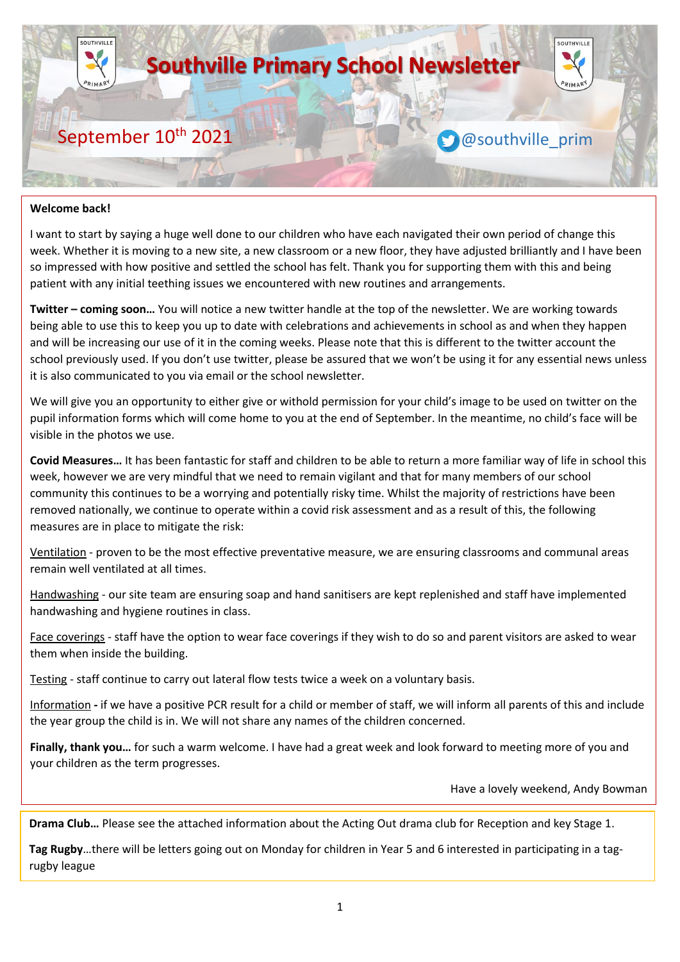

#### **Welcome back!**

I want to start by saying a huge well done to our children who have each navigated their own period of change this week. Whether it is moving to a new site, a new classroom or a new floor, they have adjusted brilliantly and I have been so impressed with how positive and settled the school has felt. Thank you for supporting them with this and being patient with any initial teething issues we encountered with new routines and arrangements.

**Twitter – coming soon…** You will notice a new twitter handle at the top of the newsletter. We are working towards being able to use this to keep you up to date with celebrations and achievements in school as and when they happen and will be increasing our use of it in the coming weeks. Please note that this is different to the twitter account the school previously used. If you don't use twitter, please be assured that we won't be using it for any essential news unless it is also communicated to you via email or the school newsletter.

We will give you an opportunity to either give or withold permission for your child's image to be used on twitter on the pupil information forms which will come home to you at the end of September. In the meantime, no child's face will be visible in the photos we use.

**Covid Measures…** It has been fantastic for staff and children to be able to return a more familiar way of life in school this week, however we are very mindful that we need to remain vigilant and that for many members of our school community this continues to be a worrying and potentially risky time. Whilst the majority of restrictions have been removed nationally, we continue to operate within a covid risk assessment and as a result of this, the following measures are in place to mitigate the risk:

Ventilation - proven to be the most effective preventative measure, we are ensuring classrooms and communal areas remain well ventilated at all times.

Handwashing - our site team are ensuring soap and hand sanitisers are kept replenished and staff have implemented handwashing and hygiene routines in class.

Face coverings - staff have the option to wear face coverings if they wish to do so and parent visitors are asked to wear them when inside the building.

Testing - staff continue to carry out lateral flow tests twice a week on a voluntary basis.

Information **-** if we have a positive PCR result for a child or member of staff, we will inform all parents of this and include the year group the child is in. We will not share any names of the children concerned.

**Finally, thank you…** for such a warm welcome. I have had a great week and look forward to meeting more of you and your children as the term progresses.

Have a lovely weekend, Andy Bowman

**Drama Club…** Please see the attached information about the Acting Out drama club for Reception and key Stage 1.

**Tag Rugby**…there will be letters going out on Monday for children in Year 5 and 6 interested in participating in a tagrugby league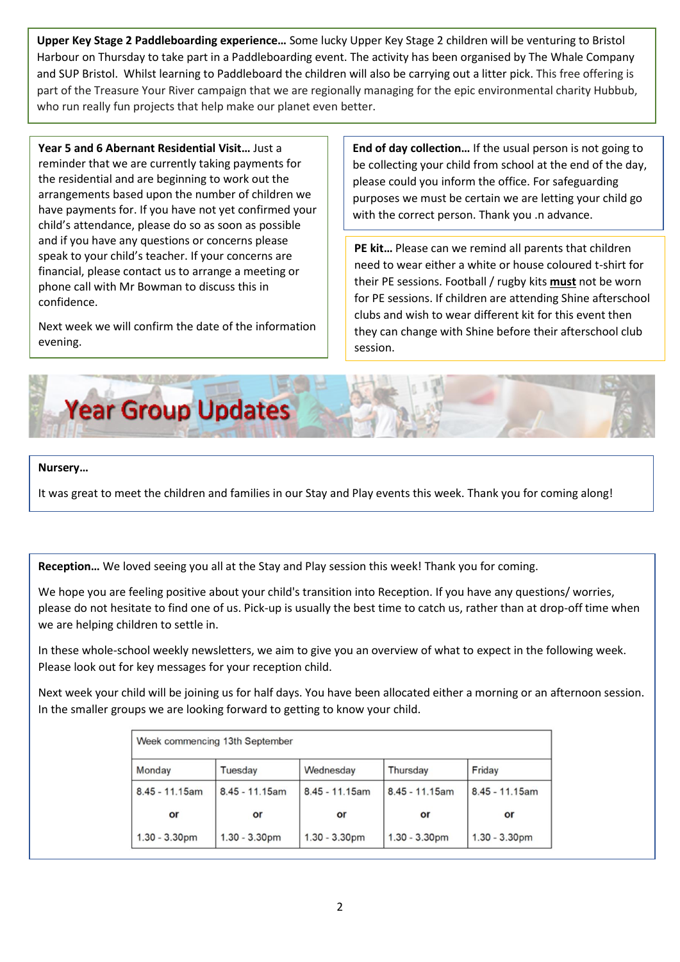**Upper Key Stage 2 Paddleboarding experience…** Some lucky Upper Key Stage 2 children will be venturing to Bristol Harbour on Thursday to take part in a Paddleboarding event. The activity has been organised by The Whale Company and SUP Bristol. Whilst learning to Paddleboard the children will also be carrying out a litter pick. This free offering is part of the Treasure Your River campaign that we are regionally managing for the epic environmental charity Hubbub, who run really fun projects that help make our planet even better.

**Year 5 and 6 Abernant Residential Visit…** Just a reminder that we are currently taking payments for the residential and are beginning to work out the arrangements based upon the number of children we have payments for. If you have not yet confirmed your child's attendance, please do so as soon as possible and if you have any questions or concerns please speak to your child's teacher. If your concerns are financial, please contact us to arrange a meeting or phone call with Mr Bowman to discuss this in confidence.

Next week we will confirm the date of the information evening.

**End of day collection…** If the usual person is not going to be collecting your child from school at the end of the day, please could you inform the office. For safeguarding purposes we must be certain we are letting your child go with the correct person. Thank you .n advance.

**PE kit…** Please can we remind all parents that children need to wear either a white or house coloured t-shirt for their PE sessions. Football / rugby kits **must** not be worn for PE sessions. If children are attending Shine afterschool clubs and wish to wear different kit for this event then they can change with Shine before their afterschool club session.



## **Nursery…**

It was great to meet the children and families in our Stay and Play events this week. Thank you for coming along!

**Reception…** We loved seeing you all at the Stay and Play session this week! Thank you for coming.

We hope you are feeling positive about your child's transition into Reception. If you have any questions/ worries, please do not hesitate to find one of us. Pick-up is usually the best time to catch us, rather than at drop-off time when we are helping children to settle in.

In these whole-school weekly newsletters, we aim to give you an overview of what to expect in the following week. Please look out for key messages for your reception child.

Next week your child will be joining us for half days. You have been allocated either a morning or an afternoon session. In the smaller groups we are looking forward to getting to know your child.

| Week commencing 13th September |                   |                   |                   |                   |
|--------------------------------|-------------------|-------------------|-------------------|-------------------|
| Monday                         | Tuesday           | Wednesday         | Thursday          | Friday            |
| $8.45 - 11.15$ am              | $8.45 - 11.15$ am | $8.45 - 11.15$ am | $8.45 - 11.15$ am | $8.45 - 11.15$ am |
| or                             | or                | or                | or                | or                |
| $1.30 - 3.30$ pm               | $1.30 - 3.30$ pm  | $1.30 - 3.30$ pm  | $1.30 - 3.30$ pm  | $1.30 - 3.30pm$   |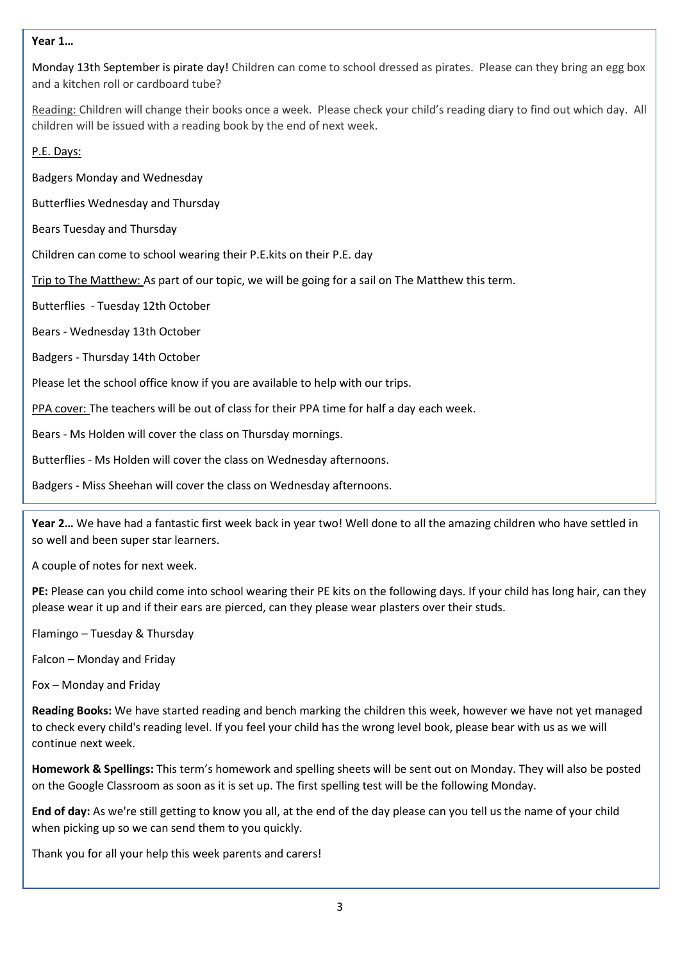## **Year 1…**

Monday 13th September is pirate day! Children can come to school dressed as pirates. Please can they bring an egg box and a kitchen roll or cardboard tube?

Reading: Children will change their books once a week. Please check your child's reading diary to find out which day. All children will be issued with a reading book by the end of next week.

P.E. Days:

Badgers Monday and Wednesday

Butterflies Wednesday and Thursday

Bears Tuesday and Thursday

Children can come to school wearing their P.E.kits on their P.E. day

Trip to The Matthew: As part of our topic, we will be going for a sail on The Matthew this term.

Butterflies - Tuesday 12th October

Bears - Wednesday 13th October

Badgers - Thursday 14th October

Please let the school office know if you are available to help with our trips.

PPA cover: The teachers will be out of class for their PPA time for half a day each week.

Bears - Ms Holden will cover the class on Thursday mornings.

Butterflies - Ms Holden will cover the class on Wednesday afternoons.

Badgers - Miss Sheehan will cover the class on Wednesday afternoons.

**Year 2…** We have had a fantastic first week back in year two! Well done to all the amazing children who have settled in so well and been super star learners.

A couple of notes for next week.

**PE:** Please can you child come into school wearing their PE kits on the following days. If your child has long hair, can they please wear it up and if their ears are pierced, can they please wear plasters over their studs.

Flamingo – Tuesday & Thursday

Falcon – Monday and Friday

Fox – Monday and Friday

**Reading Books:** We have started reading and bench marking the children this week, however we have not yet managed to check every child's reading level. If you feel your child has the wrong level book, please bear with us as we will continue next week.

**Homework & Spellings:** This term's homework and spelling sheets will be sent out on Monday. They will also be posted on the Google Classroom as soon as it is set up. The first spelling test will be the following Monday.

**End of day:** As we're still getting to know you all, at the end of the day please can you tell us the name of your child when picking up so we can send them to you quickly.

Thank you for all your help this week parents and carers!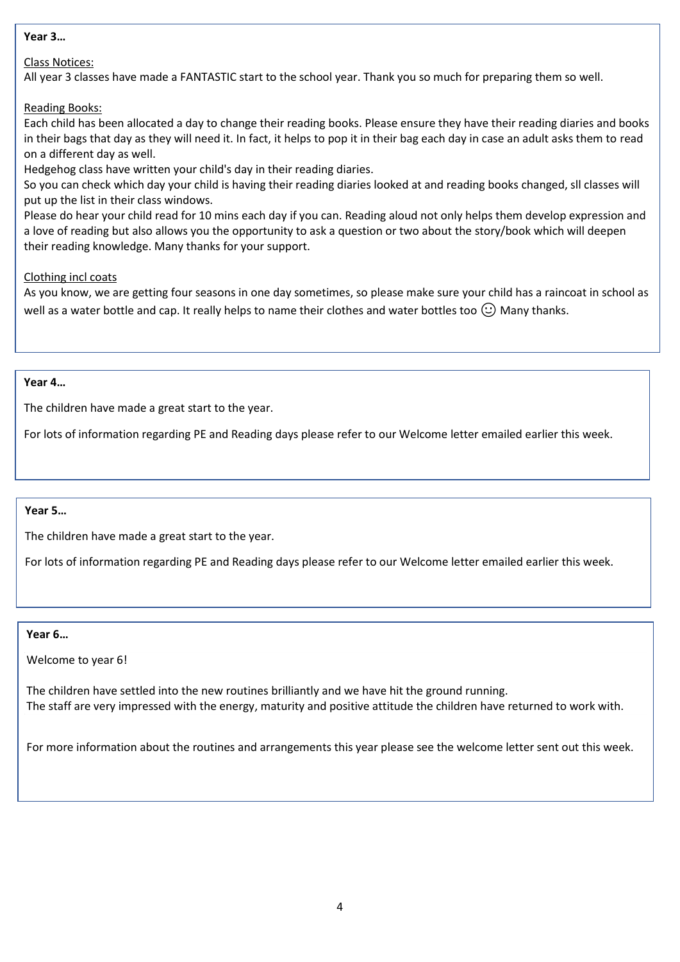#### **Year 3…**

# Class Notices:

All year 3 classes have made a FANTASTIC start to the school year. Thank you so much for preparing them so well.

## Reading Books:

Each child has been allocated a day to change their reading books. Please ensure they have their reading diaries and books in their bags that day as they will need it. In fact, it helps to pop it in their bag each day in case an adult asks them to read on a different day as well.

Hedgehog class have written your child's day in their reading diaries.

So you can check which day your child is having their reading diaries looked at and reading books changed, sll classes will put up the list in their class windows.

Please do hear your child read for 10 mins each day if you can. Reading aloud not only helps them develop expression and a love of reading but also allows you the opportunity to ask a question or two about the story/book which will deepen their reading knowledge. Many thanks for your support.

## Clothing incl coats

As you know, we are getting four seasons in one day sometimes, so please make sure your child has a raincoat in school as well as a water bottle and cap. It really helps to name their clothes and water bottles too  $\mathbb{C}$ ) Many thanks.

### **Year 4…**

The children have made a great start to the year.

For lots of information regarding PE and Reading days please refer to our Welcome letter emailed earlier this week.

# **Year 5…**

The children have made a great start to the year.

For lots of information regarding PE and Reading days please refer to our Welcome letter emailed earlier this week.

#### **Year 6…**

Welcome to year 6!

The children have settled into the new routines brilliantly and we have hit the ground running. The staff are very impressed with the energy, maturity and positive attitude the children have returned to work with.

For more information about the routines and arrangements this year please see the welcome letter sent out this week.